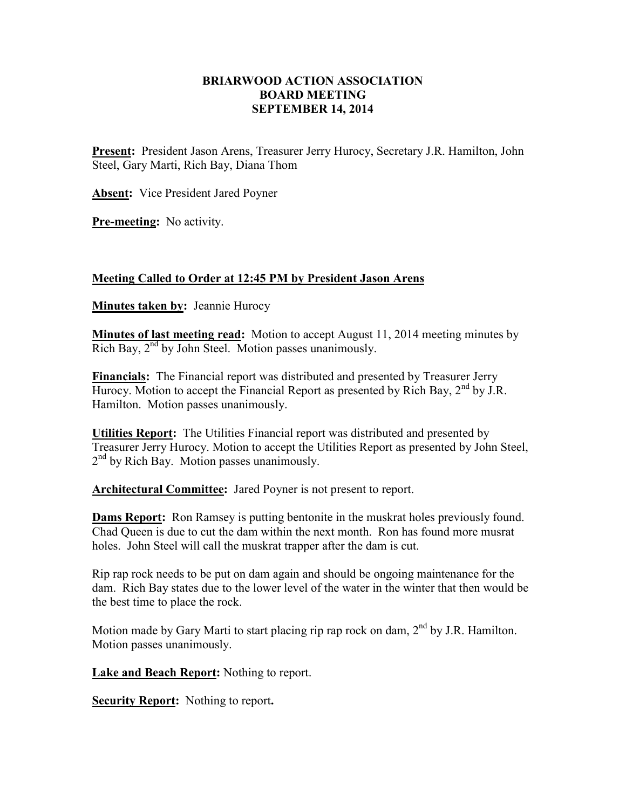## **BRIARWOOD ACTION ASSOCIATION BOARD MEETING SEPTEMBER 14, 2014**

**Present:** President Jason Arens, Treasurer Jerry Hurocy, Secretary J.R. Hamilton, John Steel, Gary Marti, Rich Bay, Diana Thom

**Absent:** Vice President Jared Poyner

**Pre-meeting:** No activity.

## **Meeting Called to Order at 12:45 PM by President Jason Arens**

**Minutes taken by:** Jeannie Hurocy

**Minutes of last meeting read:** Motion to accept August 11, 2014 meeting minutes by Rich Bay,  $2<sup>nd</sup>$  by John Steel. Motion passes unanimously.

**Financials:** The Financial report was distributed and presented by Treasurer Jerry Hurocy. Motion to accept the Financial Report as presented by Rich Bay,  $2<sup>nd</sup>$  by J.R. Hamilton. Motion passes unanimously.

**Utilities Report:** The Utilities Financial report was distributed and presented by Treasurer Jerry Hurocy. Motion to accept the Utilities Report as presented by John Steel, 2<sup>nd</sup> by Rich Bay. Motion passes unanimously.

**Architectural Committee:** Jared Poyner is not present to report.

**Dams Report:** Ron Ramsey is putting bentonite in the muskrat holes previously found. Chad Queen is due to cut the dam within the next month. Ron has found more musrat holes. John Steel will call the muskrat trapper after the dam is cut.

Rip rap rock needs to be put on dam again and should be ongoing maintenance for the dam. Rich Bay states due to the lower level of the water in the winter that then would be the best time to place the rock.

Motion made by Gary Marti to start placing rip rap rock on dam,  $2<sup>nd</sup>$  by J.R. Hamilton. Motion passes unanimously.

**Lake and Beach Report:** Nothing to report.

**Security Report:** Nothing to report**.**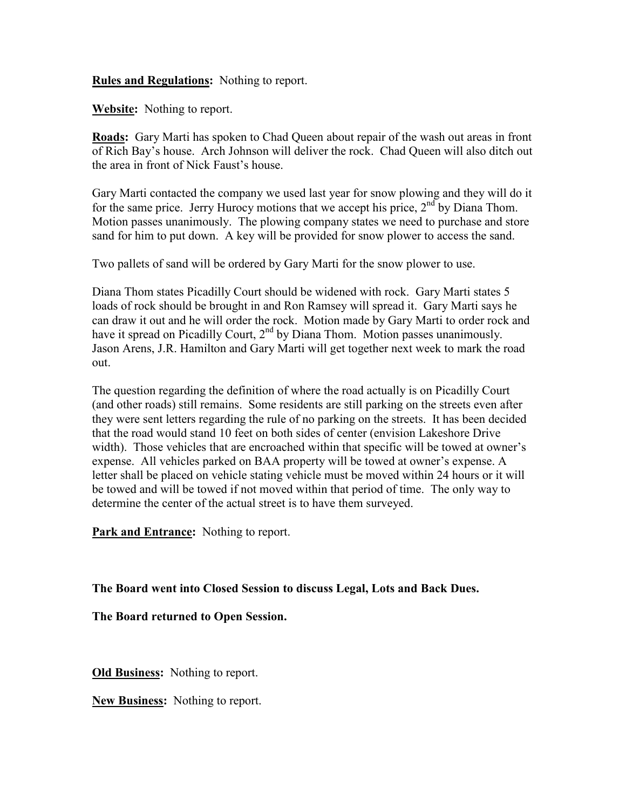**Rules and Regulations:** Nothing to report.

**Website:** Nothing to report.

**Roads:** Gary Marti has spoken to Chad Queen about repair of the wash out areas in front of Rich Bay's house. Arch Johnson will deliver the rock. Chad Queen will also ditch out the area in front of Nick Faust's house.

Gary Marti contacted the company we used last year for snow plowing and they will do it for the same price. Jerry Hurocy motions that we accept his price,  $2<sup>nd</sup>$  by Diana Thom. Motion passes unanimously. The plowing company states we need to purchase and store sand for him to put down. A key will be provided for snow plower to access the sand.

Two pallets of sand will be ordered by Gary Marti for the snow plower to use.

Diana Thom states Picadilly Court should be widened with rock. Gary Marti states 5 loads of rock should be brought in and Ron Ramsey will spread it. Gary Marti says he can draw it out and he will order the rock. Motion made by Gary Marti to order rock and have it spread on Picadilly Court,  $2<sup>nd</sup>$  by Diana Thom. Motion passes unanimously. Jason Arens, J.R. Hamilton and Gary Marti will get together next week to mark the road out.

The question regarding the definition of where the road actually is on Picadilly Court (and other roads) still remains. Some residents are still parking on the streets even after they were sent letters regarding the rule of no parking on the streets. It has been decided that the road would stand 10 feet on both sides of center (envision Lakeshore Drive width). Those vehicles that are encroached within that specific will be towed at owner's expense. All vehicles parked on BAA property will be towed at owner's expense. A letter shall be placed on vehicle stating vehicle must be moved within 24 hours or it will be towed and will be towed if not moved within that period of time. The only way to determine the center of the actual street is to have them surveyed.

**Park and Entrance:** Nothing to report.

**The Board went into Closed Session to discuss Legal, Lots and Back Dues.** 

**The Board returned to Open Session.** 

**Old Business:** Nothing to report.

**New Business:** Nothing to report.